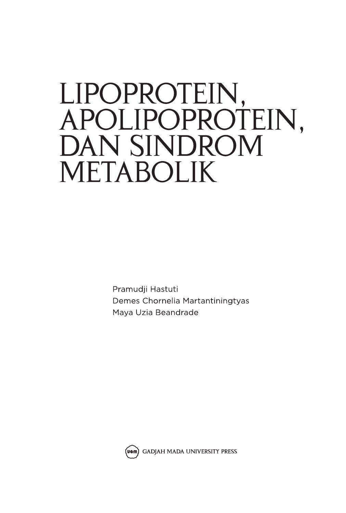# LIPOPROTEIN, APOLIPOPROTEIN. **DAN SINDROM METABOLIK**

Pramudji Hastuti Demes Chornelia Martantiningtyas Maya Uzia Beandrade

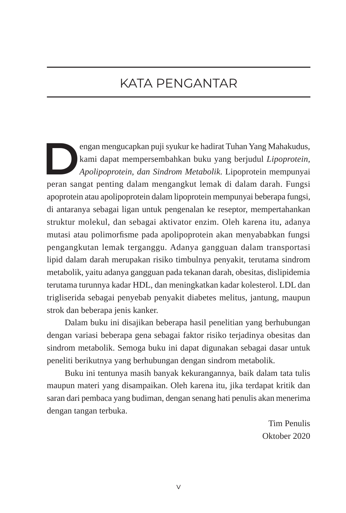#### KATA PENGANTAR

**DENGAN mengucapkan puji syukur ke hadirat Tuhan Yang Mahakudus, kami dapat mempersembahkan buku yang berjudul** *Lipoprotein***, Apolipoprotein, dan Sindrom Metabolik. Lipoprotein mempunyai** kami dapat mempersembahkan buku yang berjudul *Lipoprotein, Apolipoprotein, dan Sindrom Metabolik*. Lipoprotein mempunyai peran sangat penting dalam mengangkut lemak di dalam darah. Fungsi apoprotein atau apolipoprotein dalam lipoprotein mempunyai beberapa fungsi, di antaranya sebagai ligan untuk pengenalan ke reseptor, mempertahankan struktur molekul, dan sebagai aktivator enzim. Oleh karena itu, adanya mutasi atau polimorfisme pada apolipoprotein akan menyababkan fungsi pengangkutan lemak terganggu. Adanya gangguan dalam transportasi lipid dalam darah merupakan risiko timbulnya penyakit, terutama sindrom metabolik, yaitu adanya gangguan pada tekanan darah, obesitas, dislipidemia terutama turunnya kadar HDL, dan meningkatkan kadar kolesterol. LDL dan trigliserida sebagai penyebab penyakit diabetes melitus, jantung, maupun strok dan beberapa jenis kanker.

Dalam buku ini disajikan beberapa hasil penelitian yang berhubungan dengan variasi beberapa gena sebagai faktor risiko terjadinya obesitas dan sindrom metabolik. Semoga buku ini dapat digunakan sebagai dasar untuk peneliti berikutnya yang berhubungan dengan sindrom metabolik.

Buku ini tentunya masih banyak kekurangannya, baik dalam tata tulis maupun materi yang disampaikan. Oleh karena itu, jika terdapat kritik dan saran dari pembaca yang budiman, dengan senang hati penulis akan menerima dengan tangan terbuka.

> Tim Penulis Oktober 2020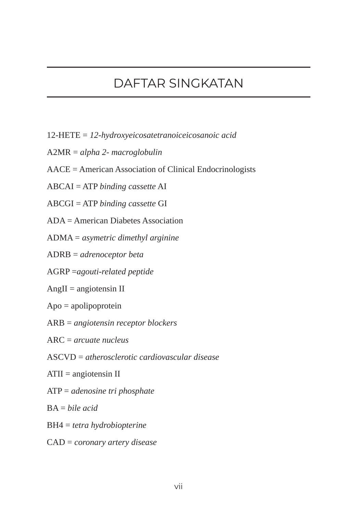### DAFTAR SINGKATAN

- 12-HETE = *12-hydroxyeicosatetranoiceicosanoic acid*
- A2MR = *alpha 2- macroglobulin*
- AACE = American Association of Clinical Endocrinologists
- ABCAI = ATP *binding cassette* AI
- ABCGI = ATP *binding cassette* GI
- ADA = American Diabetes Association
- ADMA = *asymetric dimethyl arginine*
- ADRB = *adrenoceptor beta*
- AGRP =*agouti-related peptide*
- AngII = angiotensin II
- Apo = apolipoprotein
- ARB = *angiotensin receptor blockers*
- ARC = *arcuate nucleus*
- ASCVD = *atherosclerotic cardiovascular disease*
- ATII = angiotensin II
- ATP = *adenosine tri phosphate*
- BA = *bile acid*
- BH4 = *tetra hydrobiopterine*
- CAD = *coronary artery disease*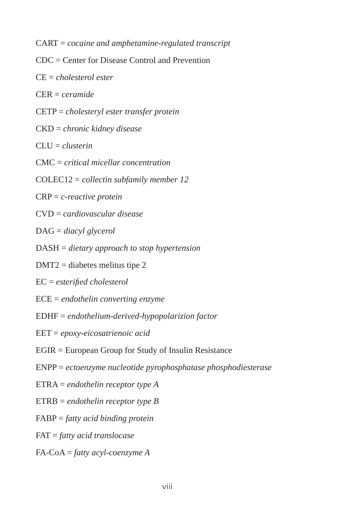CART = *cocaine and amphetamine-regulated transcript*

- CDC = Center for Disease Control and Prevention
- CE = *cholesterol ester*
- CER = *ceramide*
- CETP = *cholesteryl ester transfer protein*
- CKD = *chronic kidney disease*
- CLU = *clusterin*
- CMC = *critical micellar concentration*
- COLEC12 = *collectin subfamily member 12*
- CRP = *c-reactive protein*
- CVD = *cardiovascular disease*
- DAG = *diacyl glycerol*
- DASH = *dietary approach to stop hypertension*
- DMT2 = diabetes melitus tipe 2
- EC = *esterified cholesterol*
- ECE = *endothelin converting enzyme*
- EDHF = *endothelium-derived-hypopolarizion factor*
- EET = *epoxy-eicosatrienoic acid*
- EGIR = European Group for Study of Insulin Resistance
- ENPP = *ectoenzyme nucleotide pyrophosphatase phosphodiesterase*
- ETRA = *endothelin receptor type A*
- ETRB = *endothelin receptor type B*
- FABP = *fatty acid binding protein*
- FAT = *fatty acid translocase*
- FA-CoA = *fatty acyl-coenzyme A*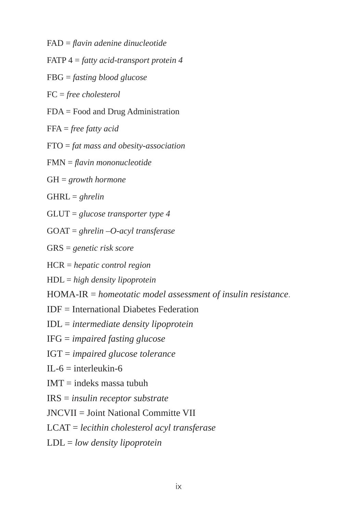FAD = *flavin adenine dinucleotide*

FATP 4 = *fatty acid-transport protein 4*

FBG = *fasting blood glucose*

FC = *free cholesterol*

- FDA = Food and Drug Administration
- FFA = *free fatty acid*
- FTO = *fat mass and obesity-association*
- FMN = *flavin mononucleotide*
- GH = *growth hormone*
- GHRL = *ghrelin*
- GLUT = *glucose transporter type 4*
- GOAT = *ghrelin –O-acyl transferase*
- GRS = *genetic risk score*
- HCR = *hepatic control region*
- HDL = *high density lipoprotein*
- HOMA-IR = *homeotatic model assessment of insulin resistance*.
- IDF = International Diabetes Federation
- IDL = *intermediate density lipoprotein*
- IFG = *impaired fasting glucose*
- IGT = *impaired glucose tolerance*
- $IL-6$  = interleukin-6
- $IMT = indeks$  massa tubuh
- IRS = *insulin receptor substrate*
- JNCVII = Joint National Committe VII
- LCAT = *lecithin cholesterol acyl transferase*
- LDL = *low density lipoprotein*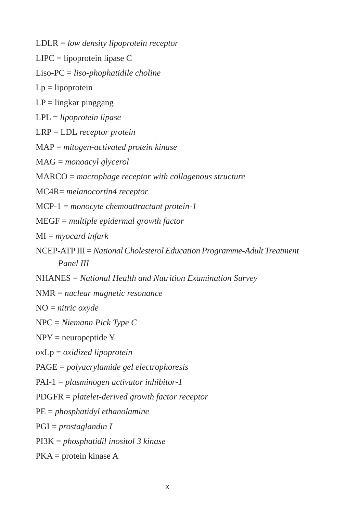LDLR = *low density lipoprotein receptor*

LIPC = lipoprotein lipase C

Liso-PC = *liso-phophatidile choline*

 $Lp = lipoprotein$ 

 $LP =$  lingkar pinggang

LPL = *lipoprotein lipase*

LRP = LDL *receptor protein*

MAP = *mitogen-activated protein kinase*

MAG = *monoacyl glycerol*

MARCO = *macrophage receptor with collagenous structure*

MC4R= *melanocortin4 receptor*

MCP-1 = *monocyte chemoattractant protein-1*

MEGF = *multiple epidermal growth factor*

MI = *myocard infark*

- NCEP-ATP III = *National Cholesterol Education Programme-Adult Treatment Panel III*
- NHANES = *National Health and Nutrition Examination Survey*

NMR = *nuclear magnetic resonance*

NO = *nitric oxyde*

NPC = *Niemann Pick Type C*

NPY = neuropeptide Y

oxLp = *oxidized lipoprotein*

PAGE = *polyacrylamide gel electrophoresis*

PAI-1 = *plasminogen activator inhibitor-1*

PDGFR = *platelet-derived growth factor receptor*

PE = *phosphatidyl ethanolamine*

PGI = *prostaglandin I*

PI3K = *phosphatidil inositol 3 kinase*

PKA = protein kinase A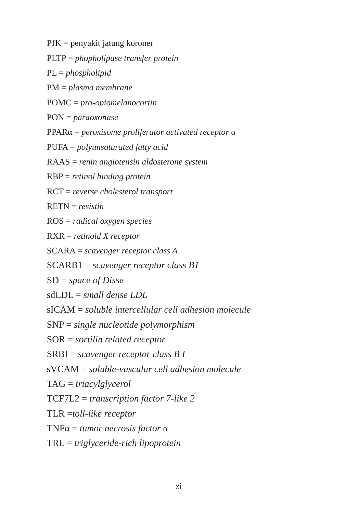PJK = penyakit jatung koroner

PLTP = *phopholipase transfer protein*

PL = *phospholipid*

PM = *plasma membrane*

POMC = *pro-opiomelanocortin*

PON = *paraoxonase*

PPARα = *peroxisome proliferator activated receptor* α

PUFA = *polyunsaturated fatty acid*

RAAS = *renin angiotensin aldosterone system*

RBP = *retinol binding protein*

RCT = *reverse cholesterol transport*

RETN = *resistin*

ROS = *radical oxygen species*

RXR = *retinoid X receptor*

SCARA = *scavenger receptor class A*

SCARB1 = *scavenger receptor class B1*

SD = *space of Disse* 

sdLDL = *small dense LDL*

sICAM = *soluble intercellular cell adhesion molecule*

SNP = *single nucleotide polymorphism*

SOR = *sortilin related receptor*

SRBI = *scavenger receptor class B I*

sVCAM = *soluble-vascular cell adhesion molecule*

TAG = *triacylglycerol*

TCF7L2 = *transcription factor 7-like 2*

TLR =*toll-like receptor*

TNFα = *tumor necrosis factor* α

TRL = *triglyceride-rich lipoprotein*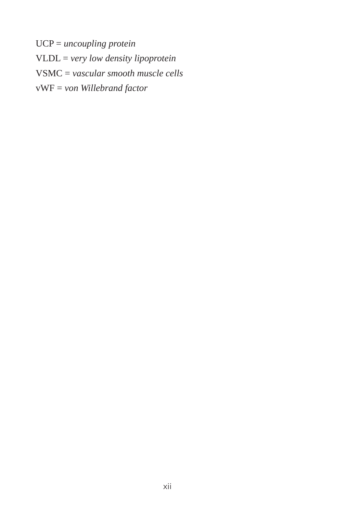UCP = *uncoupling protein* VLDL = *very low density lipoprotein* VSMC = *vascular smooth muscle cells* vWF = *von Willebrand factor*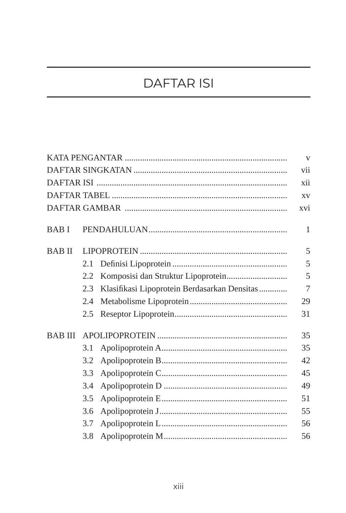## **DAFTAR ISI**

|             |     |                                              | $\overline{\mathbf{V}}$ |
|-------------|-----|----------------------------------------------|-------------------------|
|             |     |                                              | vii                     |
|             |     |                                              | xii                     |
|             |     |                                              | XV                      |
|             |     |                                              | xvi                     |
| <b>BABI</b> |     |                                              | $\mathbf{1}$            |
| BAB II      |     |                                              | 5                       |
|             | 2.1 |                                              | 5                       |
|             | 2.2 |                                              | 5                       |
|             | 2.3 | Klasifikasi Lipoprotein Berdasarkan Densitas | 7                       |
|             | 2.4 |                                              | 29                      |
|             | 2.5 |                                              | 31                      |
| BAB III     |     |                                              | 35                      |
|             | 3.1 |                                              | 35                      |
|             | 3.2 |                                              | 42                      |
|             | 3.3 |                                              | 45                      |
|             | 3.4 |                                              | 49                      |
|             | 3.5 |                                              | 51                      |
|             | 3.6 |                                              | 55                      |
|             | 3.7 |                                              | 56                      |
|             | 3.8 |                                              | 56                      |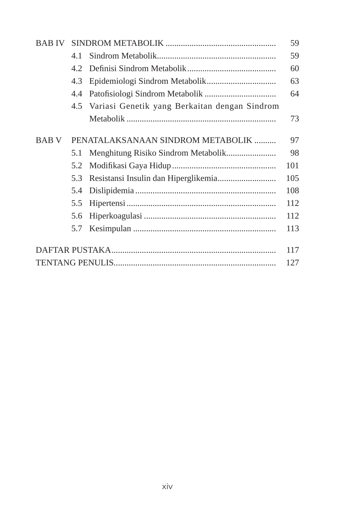| BAB IV |     |                                               | 59  |
|--------|-----|-----------------------------------------------|-----|
|        | 4.1 |                                               | 59  |
|        | 4.2 |                                               | 60  |
|        | 4.3 |                                               | 63  |
|        | 4.4 |                                               | 64  |
|        | 4.5 | Variasi Genetik yang Berkaitan dengan Sindrom |     |
|        |     |                                               | 73  |
| BAB V  |     | PENATALAKSANAAN SINDROM METABOLIK             | 97  |
|        | 5.1 |                                               | 98  |
|        | 5.2 |                                               | 101 |
|        | 5.3 |                                               | 105 |
|        | 5.4 |                                               | 108 |
|        | 5.5 |                                               | 112 |
|        | 5.6 |                                               | 112 |
|        | 5.7 |                                               | 113 |
|        |     |                                               | 117 |
|        |     |                                               | 127 |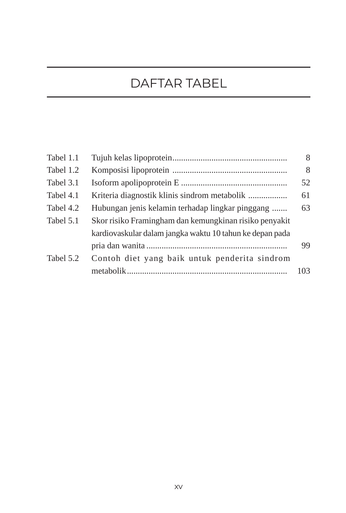## DAFTAR TABEL

| Tabel 1.1 |                                                          | 8   |
|-----------|----------------------------------------------------------|-----|
| Tabel 1.2 |                                                          | 8   |
| Tabel 3.1 |                                                          | 52  |
| Tabel 4.1 | Kriteria diagnostik klinis sindrom metabolik             | 61  |
| Tabel 4.2 | Hubungan jenis kelamin terhadap lingkar pinggang         | 63  |
| Tabel 5.1 | Skor risiko Framingham dan kemungkinan risiko penyakit   |     |
|           | kardiovaskular dalam jangka waktu 10 tahun ke depan pada |     |
|           |                                                          | 99  |
| Tabel 5.2 | Contoh diet yang baik untuk penderita sindrom            |     |
|           |                                                          | 103 |
|           |                                                          |     |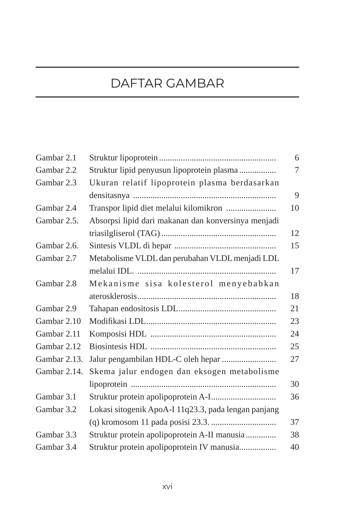### DAFTAR GAMBAR

| Gambar 2.1   |                                                      | 6  |
|--------------|------------------------------------------------------|----|
| Gambar 2.2   | Struktur lipid penyusun lipoprotein plasma           | 7  |
| Gambar 2.3   | Ukuran relatif lipoprotein plasma berdasarkan        |    |
|              |                                                      | 9  |
| Gambar 2.4   | Transpor lipid diet melalui kilomikron               | 10 |
| Gambar 2.5.  | Absorpsi lipid dari makanan dan konversinya menjadi  |    |
|              |                                                      | 12 |
| Gambar 2.6.  |                                                      | 15 |
| Gambar 2.7   | Metabolisme VLDL dan perubahan VLDL menjadi LDL      |    |
|              |                                                      | 17 |
| Gambar 2.8   | Mekanisme sisa kolesterol menyebabkan                |    |
|              |                                                      | 18 |
| Gambar 2.9   |                                                      | 21 |
| Gambar 2.10  |                                                      | 23 |
| Gambar 2.11  |                                                      | 24 |
| Gambar 2.12  |                                                      | 25 |
| Gambar 2.13. | Jalur pengambilan HDL-C oleh hepar                   | 27 |
| Gambar 2.14. | Skema jalur endogen dan eksogen metabolisme          |    |
|              |                                                      | 30 |
| Gambar 3.1   |                                                      | 36 |
| Gambar 3.2   | Lokasi sitogenik ApoA-I 11q23.3, pada lengan panjang |    |
|              |                                                      | 37 |
| Gambar 3.3   | Struktur protein apolipoprotein A-II manusia         | 38 |
| Gambar 3.4   | Struktur protein apolipoprotein IV manusia           | 40 |